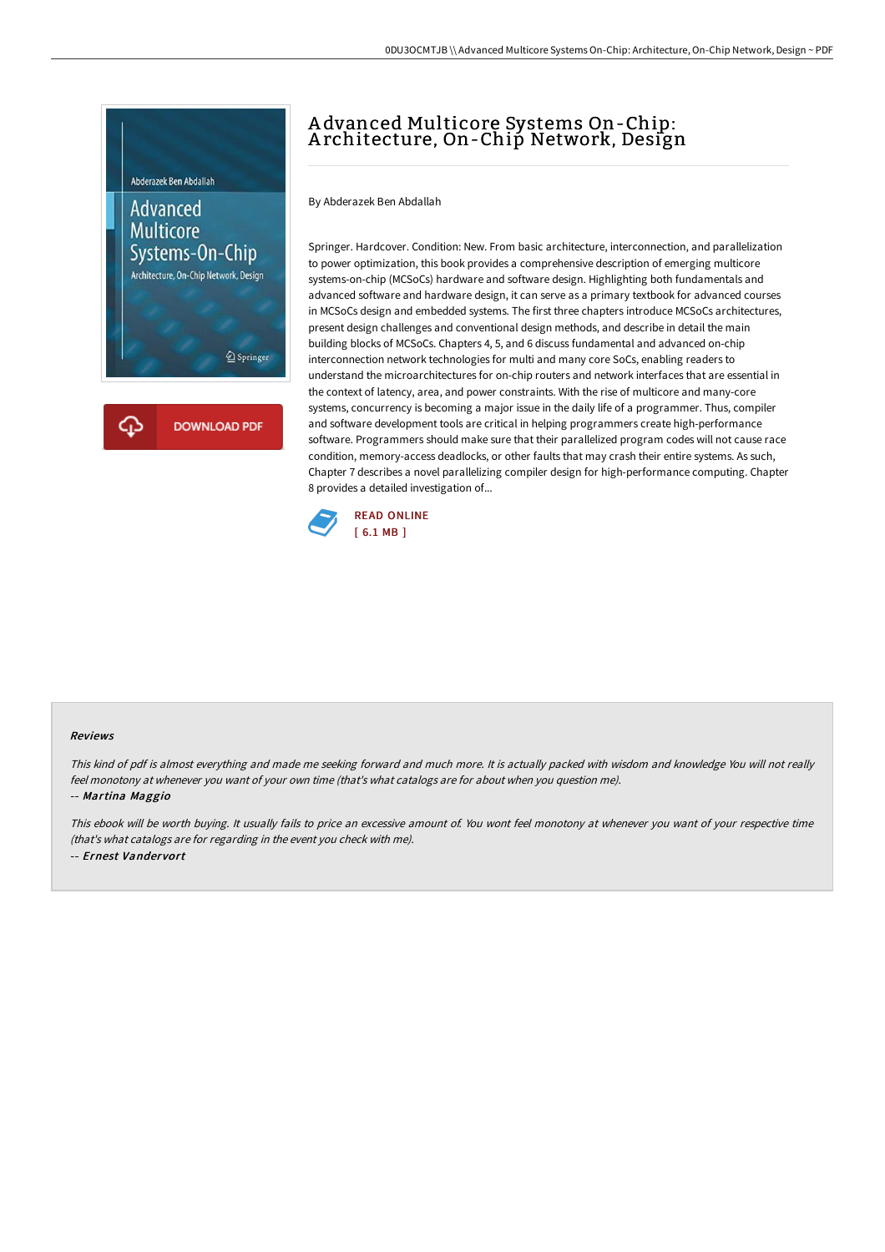

## A dvanced Multicore Systems On-Chip: A rchitecture, On-Chip Network, Design

By Abderazek Ben Abdallah

Springer. Hardcover. Condition: New. From basic architecture, interconnection, and parallelization to power optimization, this book provides a comprehensive description of emerging multicore systems-on-chip (MCSoCs) hardware and software design. Highlighting both fundamentals and advanced software and hardware design, it can serve as a primary textbook for advanced courses in MCSoCs design and embedded systems. The first three chapters introduce MCSoCs architectures, present design challenges and conventional design methods, and describe in detail the main building blocks of MCSoCs. Chapters 4, 5, and 6 discuss fundamental and advanced on-chip interconnection network technologies for multi and many core SoCs, enabling readers to understand the microarchitectures for on-chip routers and network interfaces that are essential in the context of latency, area, and power constraints. With the rise of multicore and many-core systems, concurrency is becoming a major issue in the daily life of a programmer. Thus, compiler and software development tools are critical in helping programmers create high-performance software. Programmers should make sure that their parallelized program codes will not cause race condition, memory-access deadlocks, or other faults that may crash their entire systems. As such, Chapter 7 describes a novel parallelizing compiler design for high-performance computing. Chapter 8 provides a detailed investigation of...



## Reviews

This kind of pdf is almost everything and made me seeking forward and much more. It is actually packed with wisdom and knowledge You will not really feel monotony at whenever you want of your own time (that's what catalogs are for about when you question me). -- Martina Maggio

This ebook will be worth buying. It usually fails to price an excessive amount of. You wont feel monotony at whenever you want of your respective time (that's what catalogs are for regarding in the event you check with me). -- Ernest Vandervort